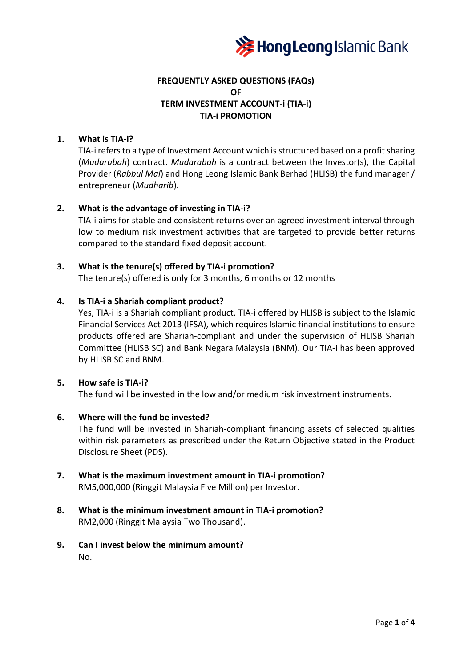

# **FREQUENTLY ASKED QUESTIONS (FAQs) OF TERM INVESTMENT ACCOUNT-i (TIA-i) TIA-i PROMOTION**

#### **1. What is TIA-i?**

TIA-i refers to a type of Investment Account which is structured based on a profit sharing (*Mudarabah*) contract. *Mudarabah* is a contract between the Investor(s), the Capital Provider (*Rabbul Mal*) and Hong Leong Islamic Bank Berhad (HLISB) the fund manager / entrepreneur (*Mudharib*).

# **2. What is the advantage of investing in TIA-i?**

TIA-i aims for stable and consistent returns over an agreed investment interval through low to medium risk investment activities that are targeted to provide better returns compared to the standard fixed deposit account.

# **3. What is the tenure(s) offered by TIA-i promotion?**

The tenure(s) offered is only for 3 months, 6 months or 12 months

#### **4. Is TIA-i a Shariah compliant product?**

Yes, TIA-i is a Shariah compliant product. TIA-i offered by HLISB is subject to the Islamic Financial Services Act 2013 (IFSA), which requires Islamic financial institutions to ensure products offered are Shariah-compliant and under the supervision of HLISB Shariah Committee (HLISB SC) and Bank Negara Malaysia (BNM). Our TIA-i has been approved by HLISB SC and BNM.

#### **5. How safe is TIA-i?**

The fund will be invested in the low and/or medium risk investment instruments.

#### **6. Where will the fund be invested?**

The fund will be invested in Shariah-compliant financing assets of selected qualities within risk parameters as prescribed under the Return Objective stated in the Product Disclosure Sheet (PDS).

- **7. What is the maximum investment amount in TIA-i promotion?** RM5,000,000 (Ringgit Malaysia Five Million) per Investor.
- **8. What is the minimum investment amount in TIA-i promotion?** RM2,000 (Ringgit Malaysia Two Thousand).
- **9. Can I invest below the minimum amount?** No.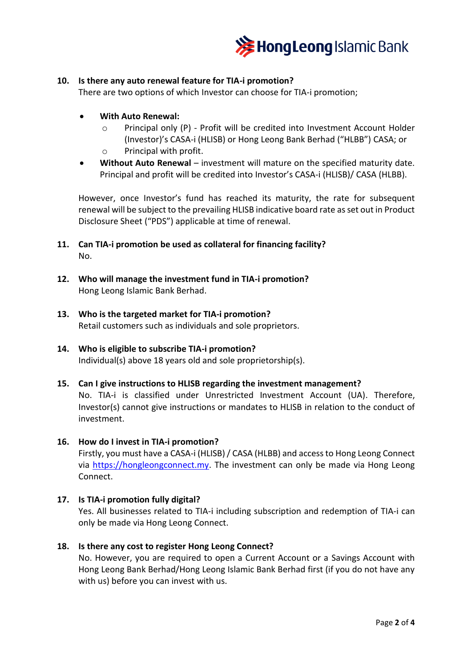

#### **10. Is there any auto renewal feature for TIA-i promotion?**

There are two options of which Investor can choose for TIA-i promotion;

- **With Auto Renewal:**
	- o Principal only (P) Profit will be credited into Investment Account Holder (Investor)'s CASA-i (HLISB) or Hong Leong Bank Berhad ("HLBB") CASA; or o Principal with profit.
- **Without Auto Renewal** investment will mature on the specified maturity date. Principal and profit will be credited into Investor's CASA-i (HLISB)/ CASA (HLBB).

However, once Investor's fund has reached its maturity, the rate for subsequent renewal will be subject to the prevailing HLISB indicative board rate as set out in Product Disclosure Sheet ("PDS") applicable at time of renewal.

- **11. Can TIA-i promotion be used as collateral for financing facility?** No.
- **12. Who will manage the investment fund in TIA-i promotion?** Hong Leong Islamic Bank Berhad.
- **13. Who is the targeted market for TIA-i promotion?** Retail customers such as individuals and sole proprietors.
- **14. Who is eligible to subscribe TIA-i promotion?** Individual(s) above 18 years old and sole proprietorship(s).
- **15. Can I give instructions to HLISB regarding the investment management?** No. TIA-i is classified under Unrestricted Investment Account (UA). Therefore, Investor(s) cannot give instructions or mandates to HLISB in relation to the conduct of investment.
- **16. How do I invest in TIA-i promotion?** Firstly, you must have a CASA-i (HLISB) / CASA (HLBB) and access to Hong Leong Connect via [https://hongleongconnect.my.](https://hongleongconnect.my/) The investment can only be made via Hong Leong Connect.

# **17. Is TIA-i promotion fully digital?**

Yes. All businesses related to TIA-i including subscription and redemption of TIA-i can only be made via Hong Leong Connect.

#### **18. Is there any cost to register Hong Leong Connect?**

No. However, you are required to open a Current Account or a Savings Account with Hong Leong Bank Berhad/Hong Leong Islamic Bank Berhad first (if you do not have any with us) before you can invest with us.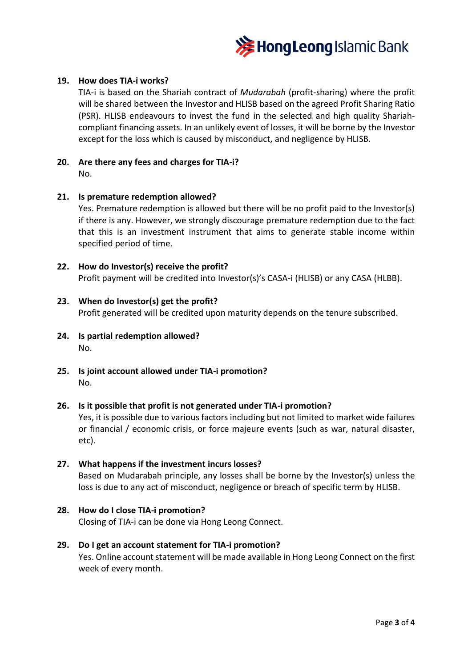

#### **19. How does TIA-i works?**

TIA-i is based on the Shariah contract of *Mudarabah* (profit-sharing) where the profit will be shared between the Investor and HLISB based on the agreed Profit Sharing Ratio (PSR). HLISB endeavours to invest the fund in the selected and high quality Shariahcompliant financing assets. In an unlikely event of losses, it will be borne by the Investor except for the loss which is caused by misconduct, and negligence by HLISB.

#### **20. Are there any fees and charges for TIA-i?** No.

#### **21. Is premature redemption allowed?**

Yes. Premature redemption is allowed but there will be no profit paid to the Investor(s) if there is any. However, we strongly discourage premature redemption due to the fact that this is an investment instrument that aims to generate stable income within specified period of time.

#### **22. How do Investor(s) receive the profit?**

Profit payment will be credited into Investor(s)'s CASA-i (HLISB) or any CASA (HLBB).

#### **23. When do Investor(s) get the profit?**

Profit generated will be credited upon maturity depends on the tenure subscribed.

- **24. Is partial redemption allowed?** No.
- **25. Is joint account allowed under TIA-i promotion?** No.

#### **26. Is it possible that profit is not generated under TIA-i promotion?**

Yes, it is possible due to various factors including but not limited to market wide failures or financial / economic crisis, or force majeure events (such as war, natural disaster, etc).

#### **27. What happens if the investment incurs losses?**

Based on Mudarabah principle, any losses shall be borne by the Investor(s) unless the loss is due to any act of misconduct, negligence or breach of specific term by HLISB.

**28. How do I close TIA-i promotion?** Closing of TIA-i can be done via Hong Leong Connect.

# **29. Do I get an account statement for TIA-i promotion?**

Yes. Online account statement will be made available in Hong Leong Connect on the first week of every month.